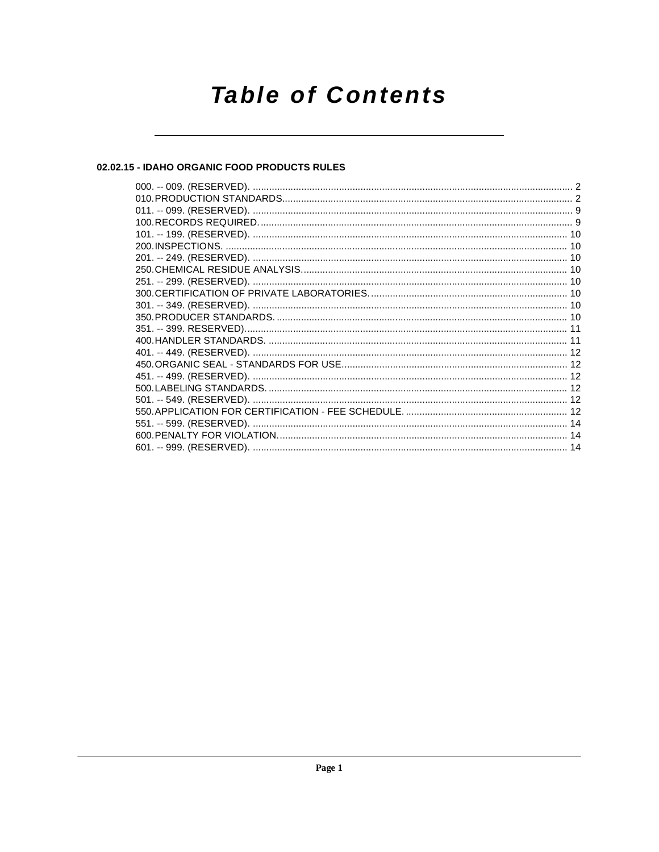# **Table of Contents**

# 02.02.15 - IDAHO ORGANIC FOOD PRODUCTS RULES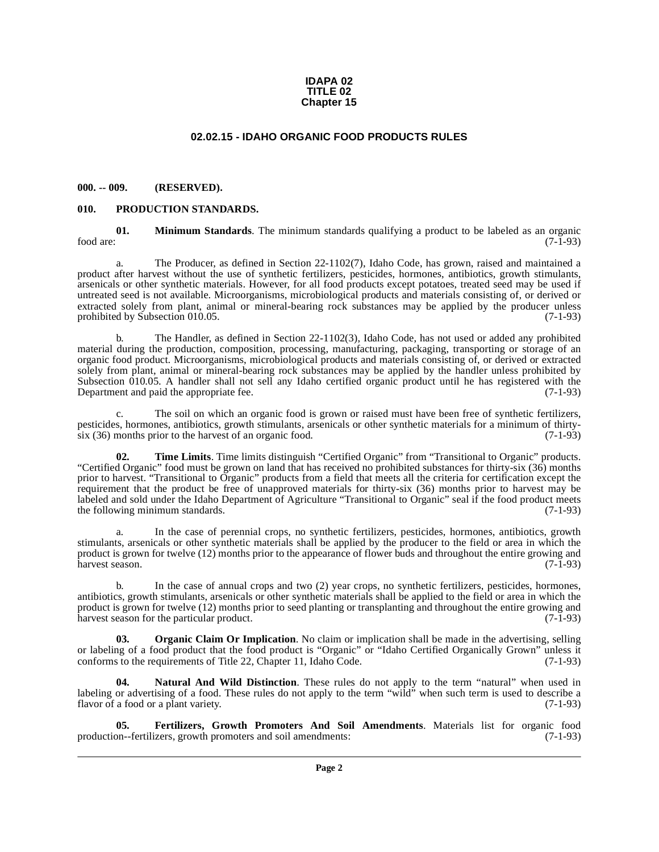## **IDAPA 02 TITLE 02 Chapter 15**

## **02.02.15 - IDAHO ORGANIC FOOD PRODUCTS RULES**

## <span id="page-1-1"></span><span id="page-1-0"></span>**000. -- 009. (RESERVED).**

## <span id="page-1-7"></span><span id="page-1-2"></span>**010. PRODUCTION STANDARDS.**

<span id="page-1-4"></span>**01. Minimum Standards**. The minimum standards qualifying a product to be labeled as an organic (7-1-93) food are:  $(7-1-93)$ 

a. The Producer, as defined in Section 22-1102(7), Idaho Code, has grown, raised and maintained a product after harvest without the use of synthetic fertilizers, pesticides, hormones, antibiotics, growth stimulants, arsenicals or other synthetic materials. However, for all food products except potatoes, treated seed may be used if untreated seed is not available. Microorganisms, microbiological products and materials consisting of, or derived or extracted solely from plant, animal or mineral-bearing rock substances may be applied by the producer unless prohibited by Subsection 010.05. (7-1-93)

b. The Handler, as defined in Section 22-1102(3), Idaho Code, has not used or added any prohibited material during the production, composition, processing, manufacturing, packaging, transporting or storage of an organic food product. Microorganisms, microbiological products and materials consisting of, or derived or extracted solely from plant, animal or mineral-bearing rock substances may be applied by the handler unless prohibited by Subsection 010.05. A handler shall not sell any Idaho certified organic product until he has registered with the Department and paid the appropriate fee. (7-1-93) Department and paid the appropriate fee.

c. The soil on which an organic food is grown or raised must have been free of synthetic fertilizers, pesticides, hormones, antibiotics, growth stimulants, arsenicals or other synthetic materials for a minimum of thirty-<br>six (36) months prior to the harvest of an organic food. (7-1-93)  $s$ ix (36) months prior to the harvest of an organic food.

<span id="page-1-8"></span>**02. Time Limits**. Time limits distinguish "Certified Organic" from "Transitional to Organic" products. "Certified Organic" food must be grown on land that has received no prohibited substances for thirty-six (36) months prior to harvest. "Transitional to Organic" products from a field that meets all the criteria for certification except the requirement that the product be free of unapproved materials for thirty-six (36) months prior to harvest may be labeled and sold under the Idaho Department of Agriculture "Transitional to Organic" seal if the food product meets the following minimum standards. (7-1-93)

a. In the case of perennial crops, no synthetic fertilizers, pesticides, hormones, antibiotics, growth stimulants, arsenicals or other synthetic materials shall be applied by the producer to the field or area in which the product is grown for twelve (12) months prior to the appearance of flower buds and throughout the entire growing and harvest season. (7-1-93)

b. In the case of annual crops and two (2) year crops, no synthetic fertilizers, pesticides, hormones, antibiotics, growth stimulants, arsenicals or other synthetic materials shall be applied to the field or area in which the product is grown for twelve (12) months prior to seed planting or transplanting and throughout the entire growing and harvest season for the particular product. (7-1-93)

<span id="page-1-6"></span>**03. Organic Claim Or Implication**. No claim or implication shall be made in the advertising, selling or labeling of a food product that the food product is "Organic" or "Idaho Certified Organically Grown" unless it conforms to the requirements of Title 22, Chapter 11, Idaho Code. (7-1-93) conforms to the requirements of Title 22, Chapter 11, Idaho Code.

<span id="page-1-5"></span>**04. Natural And Wild Distinction**. These rules do not apply to the term "natural" when used in labeling or advertising of a food. These rules do not apply to the term "wild" when such term is used to describe a flavor of a food or a plant variety. (7-1-93) flavor of a food or a plant variety.

<span id="page-1-3"></span>**05. Fertilizers, Growth Promoters And Soil Amendments**. Materials list for organic food on--fertilizers, growth promoters and soil amendments: (7-1-93) production--fertilizers, growth promoters and soil amendments: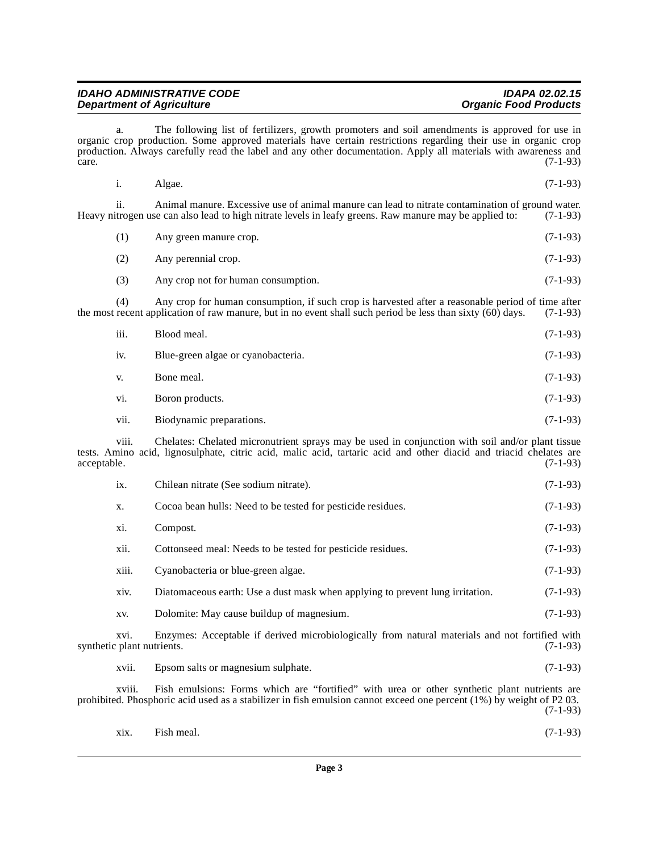| <b>IDAHO ADMINISTRATIVE CODE</b> | <b>IDAPA 02.02.15</b>        |
|----------------------------------|------------------------------|
| <b>Department of Agriculture</b> | <b>Organic Food Products</b> |

a. The following list of fertilizers, growth promoters and soil amendments is approved for use in organic crop production. Some approved materials have certain restrictions regarding their use in organic crop production. Always carefully read the label and any other documentation. Apply all materials with awareness and care. (7-1-93)  $\alpha$  (7-1-93)  $(7-1-93)$ 

i. Algae. (7-1-93)

ii. Animal manure. Excessive use of animal manure can lead to nitrate contamination of ground water.<br>Itrogen use can also lead to high nitrate levels in leafy greens. Raw manure may be applied to: (7-1-93) Heavy nitrogen use can also lead to high nitrate levels in leafy greens. Raw manure may be applied to:

- (1) Any green manure crop. (7-1-93)
- (2) Any perennial crop. (7-1-93)
- (3) Any crop not for human consumption. (7-1-93)

(4) Any crop for human consumption, if such crop is harvested after a reasonable period of time after recent application of raw manure, but in no event shall such period be less than sixty  $(60)$  days.  $(7-1-93)$ the most recent application of raw manure, but in no event shall such period be less than sixty  $(60)$  days.

| iii. | Blood meal.                        | $(7-1-93)$ |
|------|------------------------------------|------------|
| iv.  | Blue-green algae or cyanobacteria. | $(7-1-93)$ |
| V.   | Bone meal.                         | $(7-1-93)$ |
| vi.  | Boron products.                    | $(7-1-93)$ |
| vii. | Biodynamic preparations.           | $(7-1-93)$ |

viii. Chelates: Chelated micronutrient sprays may be used in conjunction with soil and/or plant tissue tests. Amino acid, lignosulphate, citric acid, malic acid, tartaric acid and other diacid and triacid chelates are acceptable. (7-1-93)

| ix.                                | Chilean nitrate (See sodium nitrate).                                                          | $(7-1-93)$ |
|------------------------------------|------------------------------------------------------------------------------------------------|------------|
| X.                                 | Cocoa bean hulls: Need to be tested for pesticide residues.                                    | $(7-1-93)$ |
| Xİ.                                | Compost.                                                                                       | $(7-1-93)$ |
| xii.                               | Cottonseed meal: Needs to be tested for pesticide residues.                                    | $(7-1-93)$ |
| xiii.                              | Cyanobacteria or blue-green algae.                                                             | $(7-1-93)$ |
| xiv.                               | Diatomaceous earth: Use a dust mask when applying to prevent lung irritation.                  | $(7-1-93)$ |
| XV.                                | Dolomite: May cause buildup of magnesium.                                                      | $(7-1-93)$ |
| XV1.<br>synthetic plant nutrients. | Enzymes: Acceptable if derived microbiologically from natural materials and not fortified with | $(7-1-93)$ |

xvii. Epsom salts or magnesium sulphate. (7-1-93)

xviii. Fish emulsions: Forms which are "fortified" with urea or other synthetic plant nutrients are prohibited. Phosphoric acid used as a stabilizer in fish emulsion cannot exceed one percent (1%) by weight of P2 03. (7-1-93)

| xix. | Fish meal. | $(7-1-93)$ |
|------|------------|------------|
|      |            |            |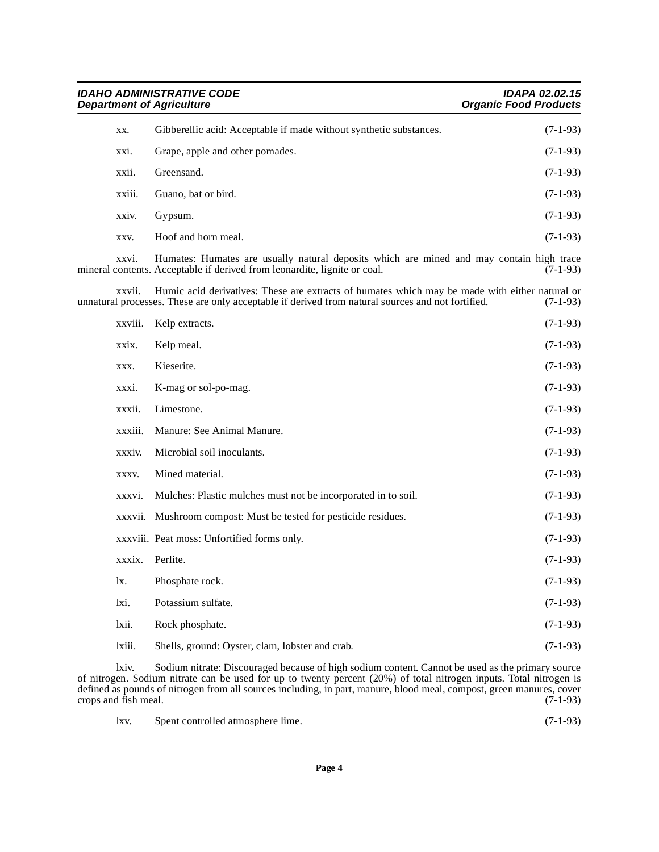**IDAHO ADMINISTRATIVE CODE IDAPA 02.02.15 Department of Agriculture Community Community Community Community Community Community Community Community Community** 

| XX.     | Gibberellic acid: Acceptable if made without synthetic substances.                                                                                                                                  | $(7-1-93)$ |
|---------|-----------------------------------------------------------------------------------------------------------------------------------------------------------------------------------------------------|------------|
| xxi.    | Grape, apple and other pomades.                                                                                                                                                                     | $(7-1-93)$ |
| xxii.   | Greensand.                                                                                                                                                                                          | $(7-1-93)$ |
| xxiii.  | Guano, bat or bird.                                                                                                                                                                                 | $(7-1-93)$ |
| xxiv.   | Gypsum.                                                                                                                                                                                             | $(7-1-93)$ |
| XXV.    | Hoof and horn meal.                                                                                                                                                                                 | $(7-1-93)$ |
| xxvi.   | Humates: Humates are usually natural deposits which are mined and may contain high trace<br>mineral contents. Acceptable if derived from leonardite, lignite or coal.                               | $(7-1-93)$ |
| xxvii.  | Humic acid derivatives: These are extracts of humates which may be made with either natural or<br>unnatural processes. These are only acceptable if derived from natural sources and not fortified. | $(7-1-93)$ |
| xxviii. | Kelp extracts.                                                                                                                                                                                      | $(7-1-93)$ |
| xxix.   | Kelp meal.                                                                                                                                                                                          | $(7-1-93)$ |
| XXX.    | Kieserite.                                                                                                                                                                                          | $(7-1-93)$ |
| xxxi.   | K-mag or sol-po-mag.                                                                                                                                                                                | $(7-1-93)$ |
| xxxii.  | Limestone.                                                                                                                                                                                          | $(7-1-93)$ |
| xxxiii. | Manure: See Animal Manure.                                                                                                                                                                          | $(7-1-93)$ |
| xxxiv.  | Microbial soil inoculants.                                                                                                                                                                          | $(7-1-93)$ |
| XXXV.   | Mined material.                                                                                                                                                                                     | $(7-1-93)$ |
| xxxvi.  | Mulches: Plastic mulches must not be incorporated in to soil.                                                                                                                                       | $(7-1-93)$ |
|         | xxxvii. Mushroom compost: Must be tested for pesticide residues.                                                                                                                                    | $(7-1-93)$ |
|         | xxxviii. Peat moss: Unfortified forms only.                                                                                                                                                         | $(7-1-93)$ |
| xxxix.  | Perlite.                                                                                                                                                                                            | $(7-1-93)$ |
| lx.     | Phosphate rock.                                                                                                                                                                                     | $(7-1-93)$ |
| lxi.    | Potassium sulfate.                                                                                                                                                                                  | $(7-1-93)$ |
| lxii.   | Rock phosphate.                                                                                                                                                                                     | $(7-1-93)$ |
| lxiii.  | Shells, ground: Oyster, clam, lobster and crab.                                                                                                                                                     | $(7-1-93)$ |

lxiv. Sodium nitrate: Discouraged because of high sodium content. Cannot be used as the primary source of nitrogen. Sodium nitrate can be used for up to twenty percent (20%) of total nitrogen inputs. Total nitrogen is defined as pounds of nitrogen from all sources including, in part, manure, blood meal, compost, green manures, cover crops and fish meal. (7-1-93)

| lxv. | Spent controlled atmosphere lime. | $(7-1-93)$ |
|------|-----------------------------------|------------|
|------|-----------------------------------|------------|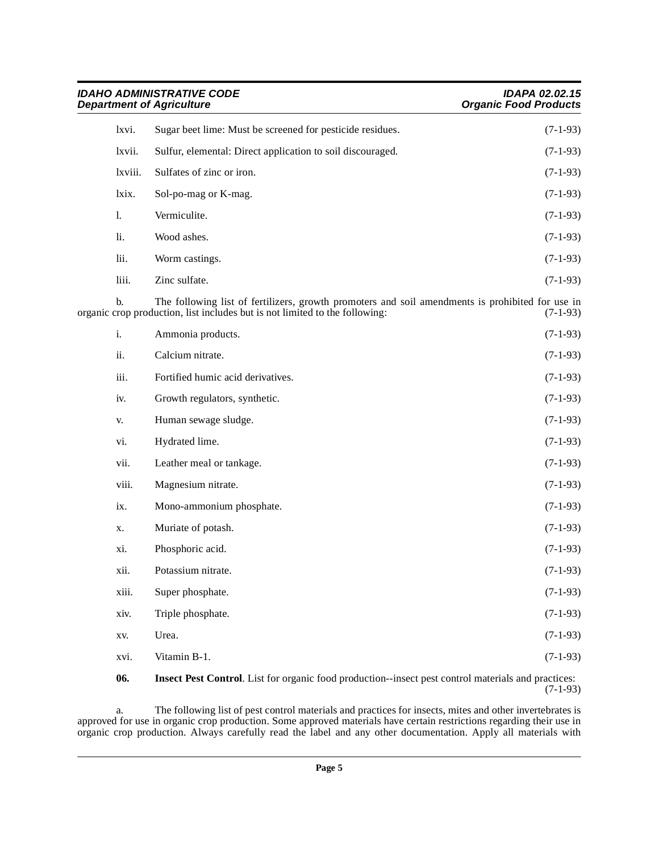| <b>IDAHO ADMINISTRATIVE CODE</b><br><b>Department of Agriculture</b> |                                                                                                                                                                                 | <b>IDAPA 02.02.15</b><br><b>Organic Food Products</b> |
|----------------------------------------------------------------------|---------------------------------------------------------------------------------------------------------------------------------------------------------------------------------|-------------------------------------------------------|
| lxvi.                                                                | Sugar beet lime: Must be screened for pesticide residues.                                                                                                                       | $(7-1-93)$                                            |
| lxvii.                                                               | Sulfur, elemental: Direct application to soil discouraged.                                                                                                                      | $(7-1-93)$                                            |
| lxviii.                                                              | Sulfates of zinc or iron.                                                                                                                                                       | $(7-1-93)$                                            |
| lxix.                                                                | Sol-po-mag or K-mag.                                                                                                                                                            | $(7-1-93)$                                            |
| 1.                                                                   | Vermiculite.                                                                                                                                                                    | $(7-1-93)$                                            |
| li.                                                                  | Wood ashes.                                                                                                                                                                     | $(7-1-93)$                                            |
| lii.                                                                 | Worm castings.                                                                                                                                                                  | $(7-1-93)$                                            |
| liii.                                                                | Zinc sulfate.                                                                                                                                                                   | $(7-1-93)$                                            |
| b.                                                                   | The following list of fertilizers, growth promoters and soil amendments is prohibited for use in<br>organic crop production, list includes but is not limited to the following: | $(7-1-93)$                                            |
| i.                                                                   | Ammonia products.                                                                                                                                                               | $(7-1-93)$                                            |
| ii.                                                                  | Calcium nitrate.                                                                                                                                                                | $(7-1-93)$                                            |
| iii.                                                                 | Fortified humic acid derivatives.                                                                                                                                               | $(7-1-93)$                                            |
| iv.                                                                  | Growth regulators, synthetic.                                                                                                                                                   | $(7-1-93)$                                            |
| V.                                                                   | Human sewage sludge.                                                                                                                                                            | $(7-1-93)$                                            |
| vi.                                                                  | Hydrated lime.                                                                                                                                                                  | $(7-1-93)$                                            |
| vii.                                                                 | Leather meal or tankage.                                                                                                                                                        | $(7-1-93)$                                            |
| viii.                                                                | Magnesium nitrate.                                                                                                                                                              | $(7-1-93)$                                            |
| ix.                                                                  | Mono-ammonium phosphate.                                                                                                                                                        | $(7-1-93)$                                            |
| X.                                                                   | Muriate of potash.                                                                                                                                                              | $(7-1-93)$                                            |
| xi.                                                                  | Phosphoric acid.                                                                                                                                                                | $(7-1-93)$                                            |
| xii.                                                                 | Potassium nitrate.                                                                                                                                                              | $(7-1-93)$                                            |
| xiii.                                                                | Super phosphate.                                                                                                                                                                | $(7-1-93)$                                            |
| xiv.                                                                 | Triple phosphate.                                                                                                                                                               | $(7-1-93)$                                            |
| XV.                                                                  | Urea.                                                                                                                                                                           | $(7-1-93)$                                            |
| xvi.                                                                 | Vitamin B-1.                                                                                                                                                                    | $(7-1-93)$                                            |

<span id="page-4-0"></span>**06. Insect Pest Control**. List for organic food production--insect pest control materials and practices: (7-1-93)

a. The following list of pest control materials and practices for insects, mites and other invertebrates is approved for use in organic crop production. Some approved materials have certain restrictions regarding their use in organic crop production. Always carefully read the label and any other documentation. Apply all materials with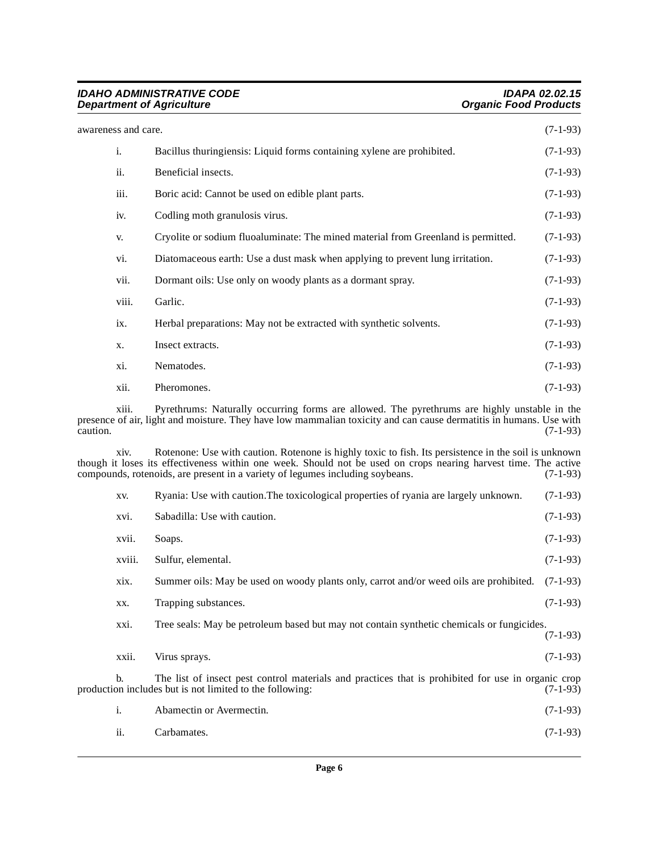## **IDAHO ADMINISTRATIVE CODE IDAPA 02.02.15 Department of Agriculture Community Community Community Community Community Community Community Community Community**

| awareness and care. |       |                                                                                                                                                                                                                    | $(7-1-93)$ |
|---------------------|-------|--------------------------------------------------------------------------------------------------------------------------------------------------------------------------------------------------------------------|------------|
|                     | i.    | Bacillus thuringiensis: Liquid forms containing xylene are prohibited.                                                                                                                                             | $(7-1-93)$ |
|                     | ii.   | Beneficial insects.                                                                                                                                                                                                | $(7-1-93)$ |
|                     | iii.  | Boric acid: Cannot be used on edible plant parts.                                                                                                                                                                  | $(7-1-93)$ |
|                     | iv.   | Codling moth granulosis virus.                                                                                                                                                                                     | $(7-1-93)$ |
|                     | V.    | Cryolite or sodium fluoaluminate: The mined material from Greenland is permitted.                                                                                                                                  | $(7-1-93)$ |
|                     | vi.   | Diatomaceous earth: Use a dust mask when applying to prevent lung irritation.                                                                                                                                      | $(7-1-93)$ |
|                     | vii.  | Dormant oils: Use only on woody plants as a dormant spray.                                                                                                                                                         | $(7-1-93)$ |
|                     | viii. | Garlic.                                                                                                                                                                                                            | $(7-1-93)$ |
|                     | ix.   | Herbal preparations: May not be extracted with synthetic solvents.                                                                                                                                                 | $(7-1-93)$ |
|                     | X.    | Insect extracts.                                                                                                                                                                                                   | $(7-1-93)$ |
|                     | xi.   | Nematodes.                                                                                                                                                                                                         | $(7-1-93)$ |
|                     | xii.  | Pheromones.                                                                                                                                                                                                        | $(7-1-93)$ |
| caution.            | xiii. | Pyrethrums: Naturally occurring forms are allowed. The pyrethrums are highly unstable in the<br>presence of air, light and moisture. They have low mammalian toxicity and can cause dermatitis in humans. Use with | $(7-1-93)$ |
|                     | V1V   | Rotenone: Use with caution Rotenone is highly toxic to fish Its persistence in the soil is unknown                                                                                                                 |            |

xiv. Rotenone: Use with caution. Rotenone is highly toxic to fish. Its persistence in the soil is unknown though it loses its effectiveness within one week. Should not be used on crops nearing harvest time. The active compounds, rotenoids, are present in a variety of legumes including soybeans. (7-1-93)

| XV.    | Ryania: Use with caution. The toxicological properties of ryania are largely unknown.                                                                          | $(7-1-93)$ |
|--------|----------------------------------------------------------------------------------------------------------------------------------------------------------------|------------|
| xvi.   | Sabadilla: Use with caution.                                                                                                                                   | $(7-1-93)$ |
| xvii.  | Soaps.                                                                                                                                                         | $(7-1-93)$ |
| xviii. | Sulfur, elemental.                                                                                                                                             | $(7-1-93)$ |
| xix.   | Summer oils: May be used on woody plants only, carrot and/or weed oils are prohibited.                                                                         | $(7-1-93)$ |
| XX.    | Trapping substances.                                                                                                                                           | $(7-1-93)$ |
| xxi.   | Tree seals: May be petroleum based but may not contain synthetic chemicals or fungicides.                                                                      | $(7-1-93)$ |
| xxii.  | Virus sprays.                                                                                                                                                  | $(7-1-93)$ |
| b.     | The list of insect pest control materials and practices that is prohibited for use in organic crop<br>production includes but is not limited to the following: | $(7-1-93)$ |
| i.     | Abamectin or Avermectin.                                                                                                                                       | $(7-1-93)$ |
| ii.    | Carbamates.                                                                                                                                                    | $(7-1-93)$ |
|        |                                                                                                                                                                |            |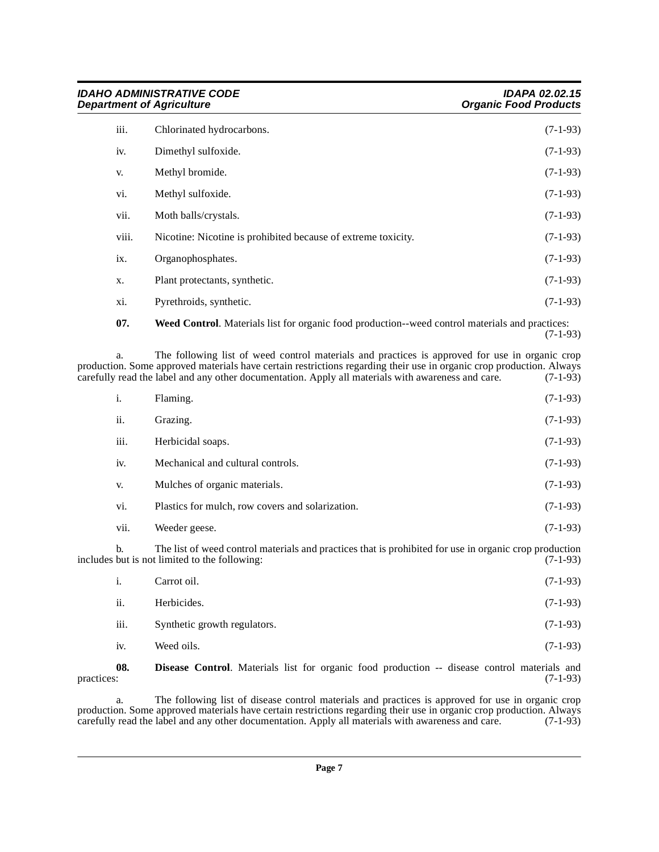| <b>IDAHO ADMINISTRATIVE CODE</b><br><b>Department of Agriculture</b> |                                                               | <b>IDAPA 02.02.15</b><br><b>Organic Food Products</b> |
|----------------------------------------------------------------------|---------------------------------------------------------------|-------------------------------------------------------|
| iii.                                                                 | Chlorinated hydrocarbons.                                     | $(7-1-93)$                                            |
| iv.                                                                  | Dimethyl sulfoxide.                                           | $(7-1-93)$                                            |
| V.                                                                   | Methyl bromide.                                               | $(7-1-93)$                                            |
| vi.                                                                  | Methyl sulfoxide.                                             | $(7-1-93)$                                            |
| vii.                                                                 | Moth balls/crystals.                                          | $(7-1-93)$                                            |
| viii.                                                                | Nicotine: Nicotine is prohibited because of extreme toxicity. | $(7-1-93)$                                            |
| ix.                                                                  | Organophosphates.                                             | $(7-1-93)$                                            |
| X.                                                                   | Plant protectants, synthetic.                                 | $(7-1-93)$                                            |
| xi.                                                                  | Pyrethroids, synthetic.                                       | $(7-1-93)$                                            |
|                                                                      |                                                               |                                                       |

<span id="page-6-1"></span>**07. Weed Control**. Materials list for organic food production--weed control materials and practices: (7-1-93)

a. The following list of weed control materials and practices is approved for use in organic crop production. Some approved materials have certain restrictions regarding their use in organic crop production. Always carefully read the label and any other documentation. Apply all materials with awareness and care. (7-1-9 carefully read the label and any other documentation. Apply all materials with awareness and care.

| 1.   | Flaming.                                         | $(7-1-93)$ |
|------|--------------------------------------------------|------------|
| ii.  | Grazing.                                         | $(7-1-93)$ |
| iii. | Herbicidal soaps.                                | $(7-1-93)$ |
| iv.  | Mechanical and cultural controls.                | $(7-1-93)$ |
| V.   | Mulches of organic materials.                    | $(7-1-93)$ |
| vi.  | Plastics for mulch, row covers and solarization. | $(7-1-93)$ |
| vii. | Weeder geese.                                    | $(7-1-93)$ |
|      |                                                  |            |

b. The list of weed control materials and practices that is prohibited for use in organic crop production but is not limited to the following: (7-1-93) includes but is not limited to the following:

| i.   | Carrot oil.                  | $(7-1-93)$ |
|------|------------------------------|------------|
| ii.  | Herbicides.                  | $(7-1-93)$ |
| iii. | Synthetic growth regulators. | $(7-1-93)$ |
| iv.  | Weed oils.                   | $(7-1-93)$ |
|      |                              |            |

## <span id="page-6-0"></span>**08.** Disease Control. Materials list for organic food production -- disease control materials and practices: (7-1-93)  $practices:$  (7-1-93)

a. The following list of disease control materials and practices is approved for use in organic crop production. Some approved materials have certain restrictions regarding their use in organic crop production. Always carefully read the label and any other documentation. Apply all materials with awareness and care. (7-1-93)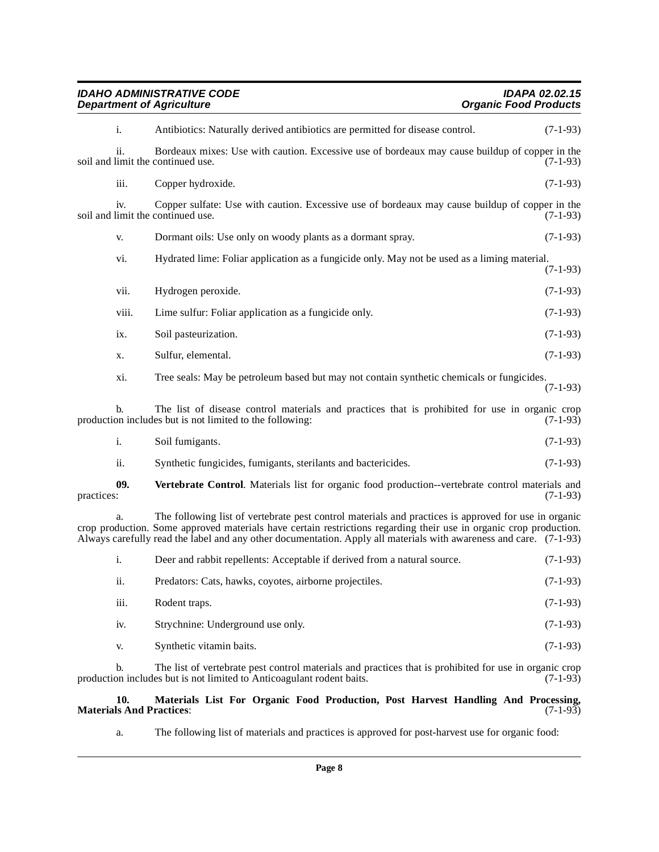| <b>IDAHO ADMINISTRATIVE CODE</b><br><b>Department of Agriculture</b> |                                                                                                                                                                                                                                                                                                                                                  | <b>IDAPA 02.02.15</b><br><b>Organic Food Products</b> |  |
|----------------------------------------------------------------------|--------------------------------------------------------------------------------------------------------------------------------------------------------------------------------------------------------------------------------------------------------------------------------------------------------------------------------------------------|-------------------------------------------------------|--|
| i.                                                                   | Antibiotics: Naturally derived antibiotics are permitted for disease control.                                                                                                                                                                                                                                                                    | $(7-1-93)$                                            |  |
| ii.<br>soil and limit the continued use.                             | Bordeaux mixes: Use with caution. Excessive use of bordeaux may cause buildup of copper in the                                                                                                                                                                                                                                                   | $(7-1-93)$                                            |  |
| iii.                                                                 | Copper hydroxide.                                                                                                                                                                                                                                                                                                                                | $(7-1-93)$                                            |  |
| iv.<br>soil and limit the continued use.                             | Copper sulfate: Use with caution. Excessive use of bordeaux may cause buildup of copper in the                                                                                                                                                                                                                                                   | $(7-1-93)$                                            |  |
| V.                                                                   | Dormant oils: Use only on woody plants as a dormant spray.                                                                                                                                                                                                                                                                                       | $(7-1-93)$                                            |  |
| vi.                                                                  | Hydrated lime: Foliar application as a fungicide only. May not be used as a liming material.                                                                                                                                                                                                                                                     | $(7-1-93)$                                            |  |
| vii.                                                                 | Hydrogen peroxide.                                                                                                                                                                                                                                                                                                                               | $(7-1-93)$                                            |  |
| viii.                                                                | Lime sulfur: Foliar application as a fungicide only.                                                                                                                                                                                                                                                                                             | $(7-1-93)$                                            |  |
| ix.                                                                  | Soil pasteurization.                                                                                                                                                                                                                                                                                                                             | $(7-1-93)$                                            |  |
| X.                                                                   | Sulfur, elemental.                                                                                                                                                                                                                                                                                                                               | $(7-1-93)$                                            |  |
| xi.                                                                  | Tree seals: May be petroleum based but may not contain synthetic chemicals or fungicides.                                                                                                                                                                                                                                                        | $(7-1-93)$                                            |  |
| b.                                                                   | The list of disease control materials and practices that is prohibited for use in organic crop<br>production includes but is not limited to the following:                                                                                                                                                                                       | $(7-1-93)$                                            |  |
| $\mathbf{i}$ .                                                       | Soil fumigants.                                                                                                                                                                                                                                                                                                                                  | $(7-1-93)$                                            |  |
| ii.                                                                  | Synthetic fungicides, fumigants, sterilants and bactericides.                                                                                                                                                                                                                                                                                    | $(7-1-93)$                                            |  |
| 09.<br>practices:                                                    | Vertebrate Control. Materials list for organic food production--vertebrate control materials and                                                                                                                                                                                                                                                 | $(7-1-93)$                                            |  |
| a.                                                                   | The following list of vertebrate pest control materials and practices is approved for use in organic<br>crop production. Some approved materials have certain restrictions regarding their use in organic crop production.<br>Always carefully read the label and any other documentation. Apply all materials with awareness and care. (7-1-93) |                                                       |  |
| i.                                                                   | Deer and rabbit repellents: Acceptable if derived from a natural source.                                                                                                                                                                                                                                                                         | $(7-1-93)$                                            |  |
| ii.                                                                  | Predators: Cats, hawks, coyotes, airborne projectiles.                                                                                                                                                                                                                                                                                           | $(7-1-93)$                                            |  |
| iii.                                                                 | Rodent traps.                                                                                                                                                                                                                                                                                                                                    | $(7-1-93)$                                            |  |
| iv.                                                                  | Strychnine: Underground use only.                                                                                                                                                                                                                                                                                                                | $(7-1-93)$                                            |  |
| V.                                                                   | Synthetic vitamin baits.                                                                                                                                                                                                                                                                                                                         | $(7-1-93)$                                            |  |
| b.                                                                   | The list of vertebrate pest control materials and practices that is prohibited for use in organic crop<br>production includes but is not limited to Anticoagulant rodent baits.                                                                                                                                                                  | $(7-1-93)$                                            |  |

## <span id="page-7-1"></span>**10. Materials List For Organic Food Production, Post Harvest Handling And Processing, Materials And Practices**: (7-1-93)

<span id="page-7-0"></span>a. The following list of materials and practices is approved for post-harvest use for organic food: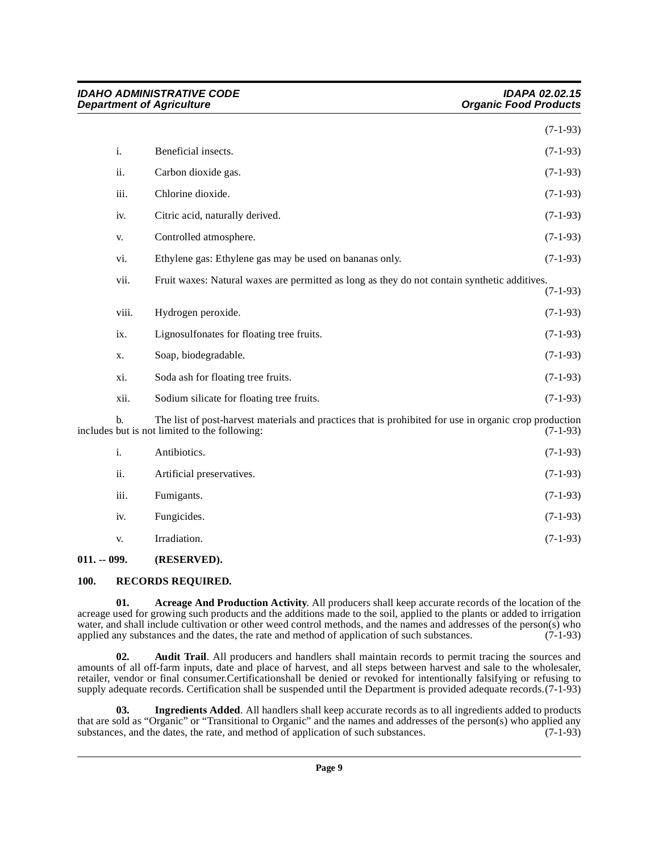| <b>IDAHO ADMINISTRATIVE CODE</b><br><b>Department of Agriculture</b> |                                                                                                                                                         | <b>IDAPA 02.02.15</b><br><b>Organic Food Products</b> |
|----------------------------------------------------------------------|---------------------------------------------------------------------------------------------------------------------------------------------------------|-------------------------------------------------------|
|                                                                      |                                                                                                                                                         | $(7-1-93)$                                            |
| i.                                                                   | Beneficial insects.                                                                                                                                     | $(7-1-93)$                                            |
| ii.                                                                  | Carbon dioxide gas.                                                                                                                                     | $(7-1-93)$                                            |
| iii.                                                                 | Chlorine dioxide.                                                                                                                                       | $(7-1-93)$                                            |
| iv.                                                                  | Citric acid, naturally derived.                                                                                                                         | $(7-1-93)$                                            |
| V.                                                                   | Controlled atmosphere.                                                                                                                                  | $(7-1-93)$                                            |
| vi.                                                                  | Ethylene gas: Ethylene gas may be used on bananas only.                                                                                                 | $(7-1-93)$                                            |
|                                                                      | vii.<br>Fruit waxes: Natural waxes are permitted as long as they do not contain synthetic additives.                                                    | $(7-1-93)$                                            |
|                                                                      | viii.<br>Hydrogen peroxide.                                                                                                                             | $(7-1-93)$                                            |
| ix.                                                                  | Lignosulfonates for floating tree fruits.                                                                                                               | $(7-1-93)$                                            |
| X.                                                                   | Soap, biodegradable.                                                                                                                                    | $(7-1-93)$                                            |
| xi.                                                                  | Soda ash for floating tree fruits.                                                                                                                      | $(7-1-93)$                                            |
|                                                                      | xii.<br>Sodium silicate for floating tree fruits.                                                                                                       | $(7-1-93)$                                            |
| b.                                                                   | The list of post-harvest materials and practices that is prohibited for use in organic crop production<br>includes but is not limited to the following: | $(7-1-93)$                                            |
| i.                                                                   | Antibiotics.                                                                                                                                            | $(7-1-93)$                                            |
| ii.                                                                  | Artificial preservatives.                                                                                                                               | $(7-1-93)$                                            |
| iii.                                                                 | Fumigants.                                                                                                                                              | $(7-1-93)$                                            |
| iv.                                                                  | Fungicides.                                                                                                                                             | $(7-1-93)$                                            |
| V.                                                                   | Irradiation.                                                                                                                                            | $(7-1-93)$                                            |
| $011. - 099.$                                                        | (RESERVED).                                                                                                                                             |                                                       |

# <span id="page-8-5"></span><span id="page-8-1"></span><span id="page-8-0"></span>**100. RECORDS REQUIRED.**

<span id="page-8-2"></span>**01. Acreage And Production Activity**. All producers shall keep accurate records of the location of the acreage used for growing such products and the additions made to the soil, applied to the plants or added to irrigation water, and shall include cultivation or other weed control methods, and the names and addresses of the person(s) who applied any substances and the dates, the rate and method of application of such substances.  $(7-1-93)$ applied any substances and the dates, the rate and method of application of such substances.

<span id="page-8-3"></span>**02. Audit Trail**. All producers and handlers shall maintain records to permit tracing the sources and amounts of all off-farm inputs, date and place of harvest, and all steps between harvest and sale to the wholesaler, retailer, vendor or final consumer.Certificationshall be denied or revoked for intentionally falsifying or refusing to supply adequate records. Certification shall be suspended until the Department is provided adequate records.(7-1-93)

<span id="page-8-4"></span>**03. Ingredients Added**. All handlers shall keep accurate records as to all ingredients added to products that are sold as "Organic" or "Transitional to Organic" and the names and addresses of the person(s) who applied any substances, and the dates, the rate, and method of application of such substances. (7-1-93)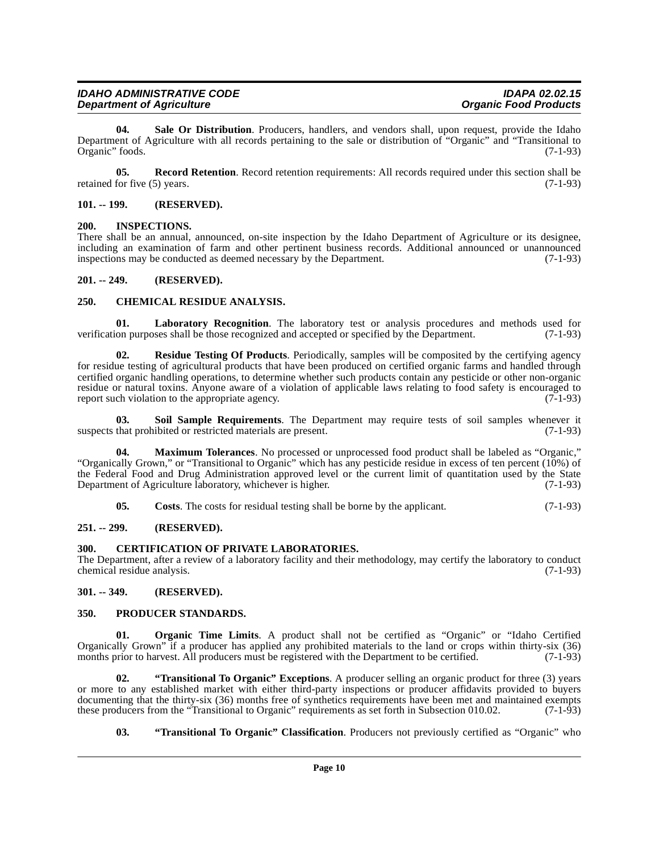| <b>IDAHO ADMINISTRATIVE CODE</b> | IDAPA 02.02.15               |
|----------------------------------|------------------------------|
| <b>Department of Agriculture</b> | <b>Organic Food Products</b> |

<span id="page-9-18"></span>**04. Sale Or Distribution**. Producers, handlers, and vendors shall, upon request, provide the Idaho Department of Agriculture with all records pertaining to the sale or distribution of "Organic" and "Transitional to Organic" foods. (7-1-93)

<span id="page-9-16"></span>**05.** Record Retention. Record retention requirements: All records required under this section shall be retained for five (5) years. (7-1-93)

## <span id="page-9-0"></span>**101. -- 199. (RESERVED).**

## <span id="page-9-11"></span><span id="page-9-1"></span>**200. INSPECTIONS.**

There shall be an annual, announced, on-site inspection by the Idaho Department of Agriculture or its designee, including an examination of farm and other pertinent business records. Additional announced or unannounced inspections may be conducted as deemed necessary by the Department. (7-1-93) inspections may be conducted as deemed necessary by the Department.

## <span id="page-9-2"></span>**201. -- 249. (RESERVED).**

## <span id="page-9-9"></span><span id="page-9-3"></span>**250. CHEMICAL RESIDUE ANALYSIS.**

<span id="page-9-12"></span>**01. Laboratory Recognition**. The laboratory test or analysis procedures and methods used for verification purposes shall be those recognized and accepted or specified by the Department. (7-1-93)

<span id="page-9-17"></span>**02.** Residue Testing Of Products. Periodically, samples will be composited by the certifying agency for residue testing of agricultural products that have been produced on certified organic farms and handled through certified organic handling operations, to determine whether such products contain any pesticide or other non-organic residue or natural toxins. Anyone aware of a violation of applicable laws relating to food safety is encouraged to report such violation to the appropriate agency. (7-1-93) report such violation to the appropriate agency.

<span id="page-9-19"></span>**03. Soil Sample Requirements**. The Department may require tests of soil samples whenever it suspects that prohibited or restricted materials are present. (7-1-93)

**04. Maximum Tolerances**. No processed or unprocessed food product shall be labeled as "Organic," "Organically Grown," or "Transitional to Organic" which has any pesticide residue in excess of ten percent (10%) of the Federal Food and Drug Administration approved level or the current limit of quantitation used by the State Department of Agriculture laboratory, whichever is higher. (7-1-93)

<span id="page-9-13"></span><span id="page-9-10"></span><span id="page-9-8"></span>**05.** Costs. The costs for residual testing shall be borne by the applicant. (7-1-93)

## <span id="page-9-4"></span>**251. -- 299. (RESERVED).**

## <span id="page-9-5"></span>**300. CERTIFICATION OF PRIVATE LABORATORIES.**

The Department, after a review of a laboratory facility and their methodology, may certify the laboratory to conduct chemical residue analysis. (7-1-93)

## <span id="page-9-6"></span>**301. -- 349. (RESERVED).**

## <span id="page-9-15"></span><span id="page-9-7"></span>**350. PRODUCER STANDARDS.**

<span id="page-9-14"></span>**Organic Time Limits.** A product shall not be certified as "Organic" or "Idaho Certified Organically Grown" if a producer has applied any prohibited materials to the land or crops within thirty-six (36) months prior to harvest. All producers must be registered with the Department to be certified. (7-1-93) months prior to harvest. All producers must be registered with the Department to be certified.

**02. "Transitional To Organic" Exceptions**. A producer selling an organic product for three (3) years or more to any established market with either third-party inspections or producer affidavits provided to buyers documenting that the thirty-six (36) months free of synthetics requirements have been met and maintained exempts these producers from the "Transitional to Organic" requirements as set forth in Subsection 010.02. (7-1-93) these producers from the "Transitional to Organic" requirements as set forth in Subsection 010.02.

## <span id="page-9-21"></span><span id="page-9-20"></span>**03. "Transitional To Organic" Classification**. Producers not previously certified as "Organic" who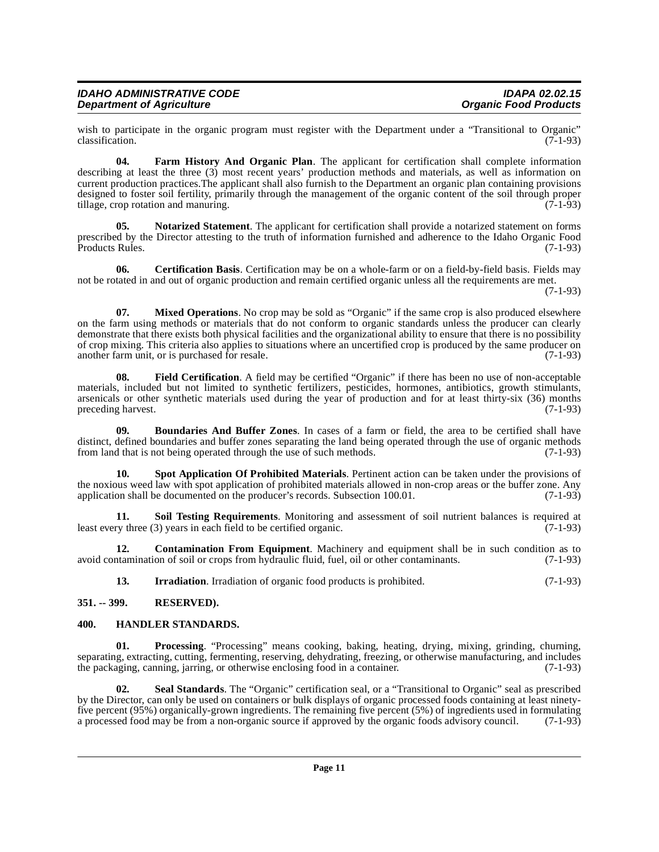| <b>IDAHO ADMINISTRATIVE CODE</b> | <b>IDAPA 02.02.15</b>        |
|----------------------------------|------------------------------|
| <b>Department of Agriculture</b> | <b>Organic Food Products</b> |

wish to participate in the organic program must register with the Department under a "Transitional to Organic"<br>classification. (7-1-93) classification.

<span id="page-10-5"></span>**04. Farm History And Organic Plan**. The applicant for certification shall complete information describing at least the three (3) most recent years' production methods and materials, as well as information on current production practices.The applicant shall also furnish to the Department an organic plan containing provisions designed to foster soil fertility, primarily through the management of the organic content of the soil through proper tillage, crop rotation and manuring. (7-1-93)

<span id="page-10-10"></span>**05. Notarized Statement**. The applicant for certification shall provide a notarized statement on forms prescribed by the Director attesting to the truth of information furnished and adherence to the Idaho Organic Food<br>(7-1-93) Products Rules.

<span id="page-10-3"></span>**06. Certification Basis**. Certification may be on a whole-farm or on a field-by-field basis. Fields may not be rotated in and out of organic production and remain certified organic unless all the requirements are met.

(7-1-93)

<span id="page-10-9"></span>**07.** Mixed Operations. No crop may be sold as "Organic" if the same crop is also produced elsewhere on the farm using methods or materials that do not conform to organic standards unless the producer can clearly demonstrate that there exists both physical facilities and the organizational ability to ensure that there is no possibility of crop mixing. This criteria also applies to situations where an uncertified crop is produced by the same producer on another farm unit, or is purchased for resale. another farm unit, or is purchased for resale.

<span id="page-10-6"></span>**08. Field Certification**. A field may be certified "Organic" if there has been no use of non-acceptable materials, included but not limited to synthetic fertilizers, pesticides, hormones, antibiotics, growth stimulants, arsenicals or other synthetic materials used during the year of production and for at least thirty-six (36) months preceding harvest. (7-1-93) preceding harvest.

<span id="page-10-2"></span>**09. Boundaries And Buffer Zones**. In cases of a farm or field, the area to be certified shall have distinct, defined boundaries and buffer zones separating the land being operated through the use of organic methods from land that is not being operated through the use of such methods. (7-1-93) from land that is not being operated through the use of such methods.

<span id="page-10-14"></span>**10. Spot Application Of Prohibited Materials**. Pertinent action can be taken under the provisions of the noxious weed law with spot application of prohibited materials allowed in non-crop areas or the buffer zone. Any<br>application shall be documented on the producer's records. Subsection 100.01. (7-1-93) application shall be documented on the producer's records. Subsection 100.01.

<span id="page-10-13"></span>**11. Soil Testing Requirements**. Monitoring and assessment of soil nutrient balances is required at least every three (3) years in each field to be certified organic. (7-1-93)

**12. Contamination From Equipment**. Machinery and equipment shall be in such condition as to avoid contamination of soil or crops from hydraulic fluid, fuel, oil or other contaminants. (7-1-93)

<span id="page-10-11"></span><span id="page-10-8"></span><span id="page-10-7"></span><span id="page-10-4"></span>**13. Irradiation**. Irradiation of organic food products is prohibited. (7-1-93)

<span id="page-10-0"></span>**351. -- 399. RESERVED).**

## <span id="page-10-1"></span>**400. HANDLER STANDARDS.**

**01. Processing**. "Processing" means cooking, baking, heating, drying, mixing, grinding, churning, separating, extracting, cutting, fermenting, reserving, dehydrating, freezing, or otherwise manufacturing, and includes<br>the packaging, canning, jarring, or otherwise enclosing food in a container. (7-1-93) the packaging, canning, jarring, or otherwise enclosing food in a container.

<span id="page-10-12"></span>**02. Seal Standards**. The "Organic" certification seal, or a "Transitional to Organic" seal as prescribed by the Director, can only be used on containers or bulk displays of organic processed foods containing at least ninetyfive percent (95%) organically-grown ingredients. The remaining five percent (5%) of ingredients used in formulating a processed food may be from a non-organic source if approved by the organic foods advisory council. (7-1-93)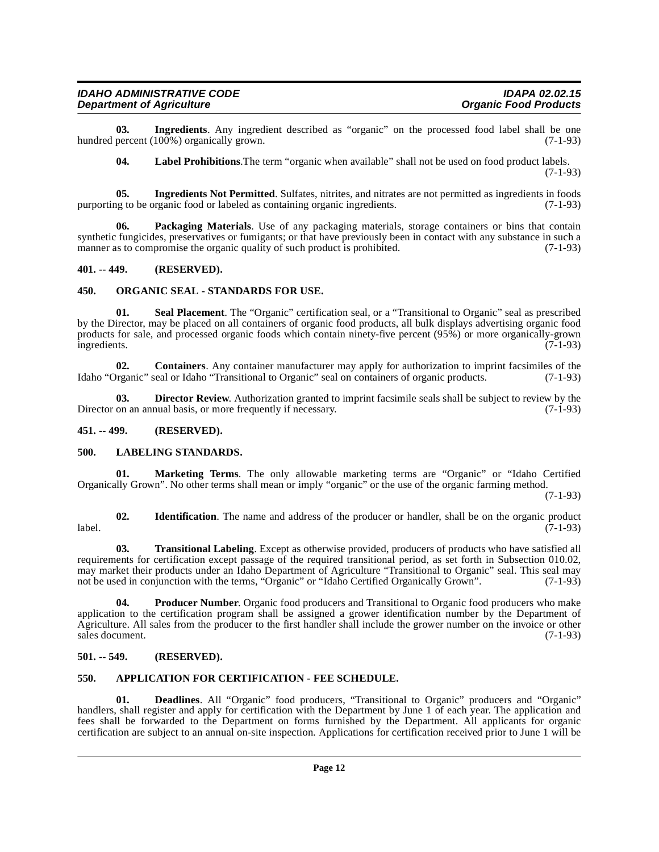**03.** Ingredients. Any ingredient described as "organic" on the processed food label shall be one percent (100%) organically grown. hundred percent (100%) organically grown.

<span id="page-11-17"></span><span id="page-11-13"></span><span id="page-11-12"></span><span id="page-11-11"></span>**04. Label Prohibitions**.The term "organic when available" shall not be used on food product labels. (7-1-93)

**05. Ingredients Not Permitted**. Sulfates, nitrites, and nitrates are not permitted as ingredients in foods is to be organic food or labeled as containing organic ingredients. (7-1-93) purporting to be organic food or labeled as containing organic ingredients.

**Packaging Materials**. Use of any packaging materials, storage containers or bins that contain synthetic fungicides, preservatives or fumigants; or that have previously been in contact with any substance in such a manner as to compromise the organic quality of such product is prohibited. (7-1-93) manner as to compromise the organic quality of such product is prohibited.

## <span id="page-11-0"></span>**401. -- 449. (RESERVED).**

## <span id="page-11-16"></span><span id="page-11-1"></span>**450. ORGANIC SEAL - STANDARDS FOR USE.**

<span id="page-11-19"></span>Seal Placement. The "Organic" certification seal, or a "Transitional to Organic" seal as prescribed by the Director, may be placed on all containers of organic food products, all bulk displays advertising organic food products for sale, and processed organic foods which contain ninety-five percent (95%) or more organically-grown ingredients. (7-1-93) ingredients. (7-1-93)

<span id="page-11-7"></span>**02. Containers**. Any container manufacturer may apply for authorization to imprint facsimiles of the Idaho "Organic" seal or Idaho "Transitional to Organic" seal on containers of organic products. (7-1-93)

<span id="page-11-9"></span>**03. Director Review**. Authorization granted to imprint facsimile seals shall be subject to review by the on an annual basis, or more frequently if necessary. (7-1-93) Director on an annual basis, or more frequently if necessary.

## <span id="page-11-2"></span>**451. -- 499. (RESERVED).**

## <span id="page-11-14"></span><span id="page-11-3"></span>**500. LABELING STANDARDS.**

<span id="page-11-15"></span>**01. Marketing Terms**. The only allowable marketing terms are "Organic" or "Idaho Certified Organically Grown". No other terms shall mean or imply "organic" or the use of the organic farming method.

(7-1-93)

<span id="page-11-10"></span>**02. Identification**. The name and address of the producer or handler, shall be on the organic product label. (7-1-93)

<span id="page-11-20"></span>**03. Transitional Labeling**. Except as otherwise provided, producers of products who have satisfied all requirements for certification except passage of the required transitional period, as set forth in Subsection 010.02, may market their products under an Idaho Department of Agriculture "Transitional to Organic" seal. This seal may not be used in conjunction with the terms, "Organic" or "Idaho Certified Organically Grown". (7-1-93)

<span id="page-11-18"></span>**04. Producer Number**. Organic food producers and Transitional to Organic food producers who make application to the certification program shall be assigned a grower identification number by the Department of Agriculture. All sales from the producer to the first handler shall include the grower number on the invoice or other sales document.  $(7-1-93)$ 

## <span id="page-11-4"></span>**501. -- 549. (RESERVED).**

## <span id="page-11-6"></span><span id="page-11-5"></span>**550. APPLICATION FOR CERTIFICATION - FEE SCHEDULE.**

<span id="page-11-8"></span>**01. Deadlines**. All "Organic" food producers, "Transitional to Organic" producers and "Organic" handlers, shall register and apply for certification with the Department by June 1 of each year. The application and fees shall be forwarded to the Department on forms furnished by the Department. All applicants for organic certification are subject to an annual on-site inspection. Applications for certification received prior to June 1 will be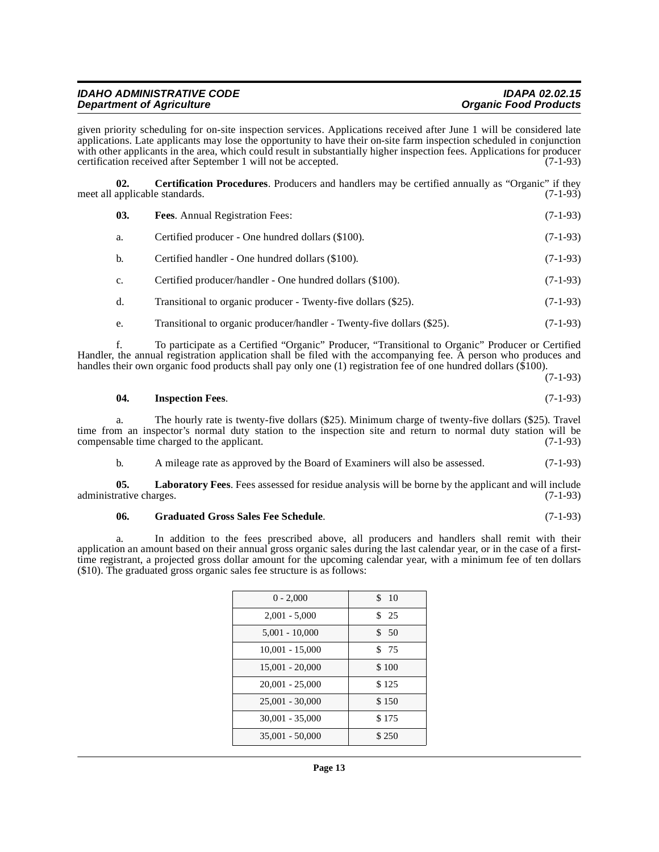| <b>IDAHO ADMINISTRATIVE CODE</b> | <b>IDAPA 02.02.15</b>        |
|----------------------------------|------------------------------|
| <b>Department of Agriculture</b> | <b>Organic Food Products</b> |

given priority scheduling for on-site inspection services. Applications received after June 1 will be considered late applications. Late applicants may lose the opportunity to have their on-site farm inspection scheduled in conjunction with other applicants in the area, which could result in substantially higher inspection fees. Applications for producer certification received after September 1 will not be accepted. (7-1-93)

**02. Certification Procedures**. Producers and handlers may be certified annually as "Organic" if they applicable standards. (7-1-93) meet all applicable standards.

<span id="page-12-1"></span><span id="page-12-0"></span>

| 03.            | <b>Fees.</b> Annual Registration Fees:                                 | $(7-1-93)$ |
|----------------|------------------------------------------------------------------------|------------|
| a.             | Certified producer - One hundred dollars (\$100).                      | $(7-1-93)$ |
| b.             | Certified handler - One hundred dollars (\$100).                       | $(7-1-93)$ |
| $\mathbf{c}$ . | Certified producer/handler - One hundred dollars (\$100).              | $(7-1-93)$ |
| $\mathbf{d}$ . | Transitional to organic producer - Twenty-five dollars (\$25).         | $(7-1-93)$ |
| e.             | Transitional to organic producer/handler - Twenty-five dollars (\$25). | $(7-1-93)$ |

f. To participate as a Certified "Organic" Producer, "Transitional to Organic" Producer or Certified Handler, the annual registration application shall be filed with the accompanying fee. A person who produces and handles their own organic food products shall pay only one (1) registration fee of one hundred dollars (\$100).

(7-1-93)

#### <span id="page-12-3"></span>**04. Inspection Fees**. (7-1-93)

a. The hourly rate is twenty-five dollars (\$25). Minimum charge of twenty-five dollars (\$25). Travel time from an inspector's normal duty station to the inspection site and return to normal duty station will be compensable time charged to the applicant. (7-1-93) compensable time charged to the applicant.

<span id="page-12-4"></span>b. A mileage rate as approved by the Board of Examiners will also be assessed. (7-1-93)

**05.** Laboratory Fees. Fees assessed for residue analysis will be borne by the applicant and will include rative charges. (7-1-93) administrative charges.

#### <span id="page-12-2"></span>**06. Graduated Gross Sales Fee Schedule**. (7-1-93)

a. In addition to the fees prescribed above, all producers and handlers shall remit with their application an amount based on their annual gross organic sales during the last calendar year, or in the case of a firsttime registrant, a projected gross dollar amount for the upcoming calendar year, with a minimum fee of ten dollars (\$10). The graduated gross organic sales fee structure is as follows:

| $0 - 2,000$       | \$10  |
|-------------------|-------|
| $2,001 - 5,000$   | \$25  |
| $5,001 - 10,000$  | \$50  |
| $10,001 - 15,000$ | \$ 75 |
| $15,001 - 20,000$ | \$100 |
| $20,001 - 25,000$ | \$125 |
| $25,001 - 30,000$ | \$150 |
| $30,001 - 35,000$ | \$175 |
| 35,001 - 50,000   | \$250 |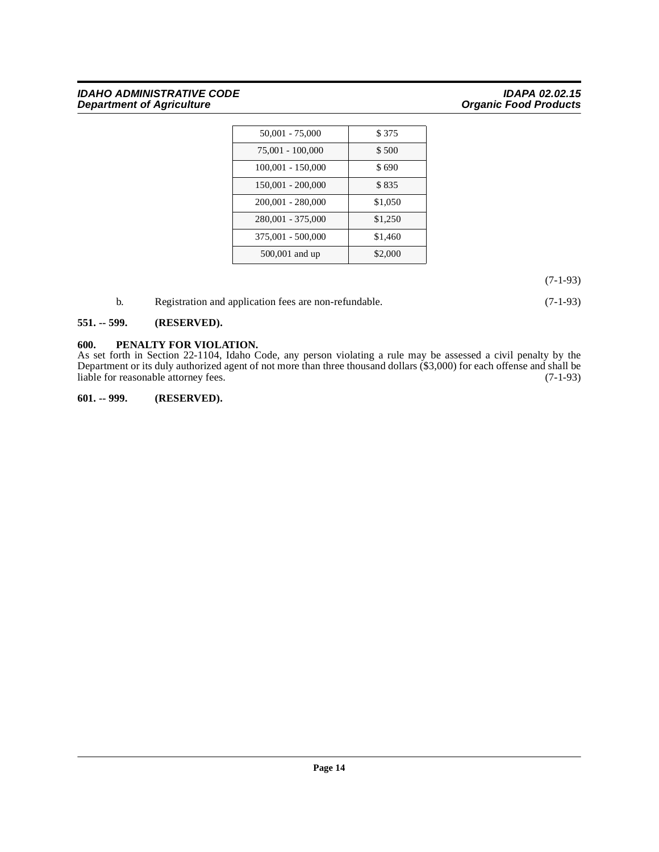## **IDAHO ADMINISTRATIVE CODE IDAPA 02.02.15 Department of Agriculture Community Community Community Community Community Community Community Community Community**

| $50,001 - 75,000$   | \$375   |
|---------------------|---------|
| 75,001 - 100,000    | \$500   |
| $100,001 - 150,000$ | \$690   |
| 150,001 - 200,000   | \$835   |
| 200,001 - 280,000   | \$1,050 |
| 280,001 - 375,000   | \$1,250 |
| 375,001 - 500,000   | \$1,460 |
| 500,001 and up      | \$2,000 |

(7-1-93)

<span id="page-13-3"></span>

| Registration and application fees are non-refundable. | $(7-1-93)$ |
|-------------------------------------------------------|------------|
|                                                       |            |

## <span id="page-13-0"></span>**551. -- 599. (RESERVED).**

## <span id="page-13-1"></span>**600. PENALTY FOR VIOLATION.**

As set forth in Section 22-1104, Idaho Code, any person violating a rule may be assessed a civil penalty by the Department or its duly authorized agent of not more than three thousand dollars (\$3,000) for each offense and shall be liable for reasonable attorney fees. (7-1-93)

<span id="page-13-2"></span>**601. -- 999. (RESERVED).**